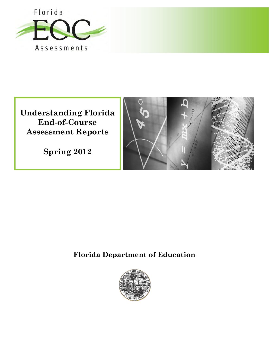

**Understanding Florida End-of-Course Assessment Reports** 

**Spring 2012** 



# **Florida Department of Education**

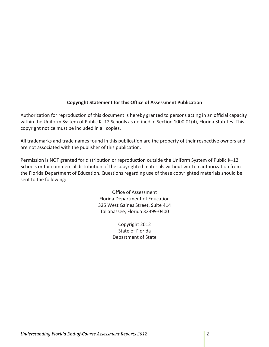## **Copyright Statement for this Office of Assessment Publication**

 Authorization for reproduction of this document is hereby granted to persons acting in an official capacity within the Uniform System of Public K–12 Schools as defined in Section 1000.01(4), Florida Statutes. This copyright notice must be included in all copies.

 All trademarks and trade names found in this publication are the property of their respective owners and are not associated with the publisher of this publication.

 Permission is NOT granted for distribution or reproduction outside the Uniform System of Public K–12 Schools or for commercial distribution of the copyrighted materials without written authorization from the Florida Department of Education. Questions regarding use of these copyrighted materials should be sent to the following:

> Office of Assessment Florida Department of Education 325 West Gaines Street, Suite 414 Tallahassee, Florida 32399‐0400

> > Copyright 2012 State of Florida Department of State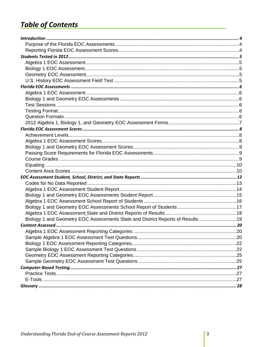# **Table of Contents**

| Biology 1 and Geometry EOC Assessments State and District Reports of Results19 |  |
|--------------------------------------------------------------------------------|--|
|                                                                                |  |
|                                                                                |  |
|                                                                                |  |
|                                                                                |  |
|                                                                                |  |
|                                                                                |  |
|                                                                                |  |
|                                                                                |  |
|                                                                                |  |
|                                                                                |  |
|                                                                                |  |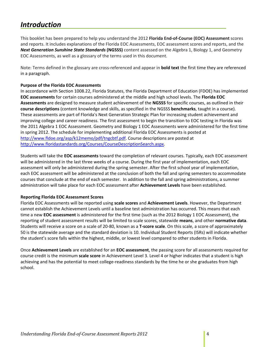#### *Introduction*

  This booklet has been prepared to help you understand the 2012 **Florida End‐of‐Course (EOC) Assessment** scores and reports. It includes explanations of the Florida EOC Assessments, EOC assessment scores and reports, and the  *Next Generation Sunshine State Standards* **(NGSSS)** content assessed on the Algebra 1, Biology 1, and Geometry EOC Assessments, as well as a glossary of the terms used in this document.

 Note: Terms defined in the glossary are cross‐referenced and appear in **bold text** the first time they are referenced in a paragraph.

## **Purpose of the Florida EOC Assessments**

l,

 In accordance with Section 1008.22, Florida Statutes, the Florida Department of Education (FDOE) has implemented  **EOC assessments** for certain courses administered at the middle and high school levels. The **Florida EOC Assessments** are designed to measure student achievement of the **NGSSS** for specific courses, as outlined in their **course descriptions** (content knowledge and skills, as specified in the NGSSS **benchmarks**, taught in a course). These assessments are part of Florida's Next Generation Strategic Plan for increasing student achievement and improving college and career readiness. The first assessment to begin the transition to EOC testing in Florida was the 2011 Algebra 1 EOC Assessment. Geometry and Biology 1 EOC Assessments were administered for the first time in spring 2012. The schedule for implementing additional Florida EOC Assessments is posted at http://www.fldoe.org/asp/k12memo/pdf/tngcbtf.pdf. Course descriptions are posted at http://www.floridastandards.org/Courses/CourseDescriptionSearch.aspx.

 Students will take the **EOC assessments** toward the completion of relevant courses. Typically, each EOC assessment will be administered in the last three weeks of a course. During the first year of implementation, each EOC assessment will only be administered during the spring semester. After the first school year of implementation, each EOC assessment will be administered at the conclusion of both the fall and spring semesters to accommodate courses that conclude at the end of each semester. In addition to the fall and spring administrations, a summer administration will take place for each EOC assessment after **Achievement Levels** have been established.

## **Reporting Florida EOC Assessment Scores**

  Florida EOC Assessments will be reported using **scale scores** and **Achievement Levels**. However, the Department cannot establish the Achievement Levels until a baseline test administration has occurred. This means that each time a new **EOC assessment** is administered for the first time (such as the 2012 Biology 1 EOC Assessment), the reporting of student assessment results will be limited to scale scores, statewide **means**, and other **normative data**. Students will receive a score on a scale of 20‐80, known as a **T‐score scale**. On this scale, a score of approximately 50 is the statewide average and the standard deviation is 10. Individual Student Reports (ISRs) will indicate whether the student's score falls within the highest, middle, or lowest level compared to other students in Florida.

 Once **Achievement Levels** are established for an **EOC assessment**, the passing score for all assessments required for course credit is the minimum **scale score** in Achievement Level 3. Level 4 or higher indicates that a student is high achieving and has the potential to meet college‐readiness standards by the time he or she graduates from high school.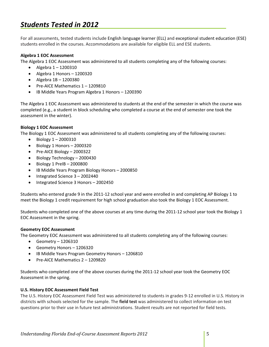# *Students Tested in 2012*

 For all assessments, tested students include English language learner (ELL) and exceptional student education (ESE) students enrolled in the courses. Accommodations are available for eligible ELL and ESE students.

## **Algebra 1 EOC Assessment**

The Algebra 1 EOC Assessment was administered to all students completing any of the following courses:

- Algebra  $1 1200310$
- Algebra 1 Honors 1200320
- Algebra 1B 1200380
- Pre-AICE Mathematics 1-1209810
- IB Middle Years Program Algebra 1 Honors 1200390

l,

 The Algebra 1 EOC Assessment was administered to students at the end of the semester in which the course was completed (e.g., a student in block scheduling who completed a course at the end of semester one took the assessment in the winter).

## **Biology 1 EOC Assessment**

The Biology 1 EOC Assessment was administered to all students completing any of the following courses:

- Biology 1 2000310
- Biology 1 Honors 2000320
- Pre-AICE Biology 2000322
- Biology Technology 2000430
- Biology 1 PreIB 2000800
- IB Middle Years Program Biology Honors 2000850
- Integrated Science 3 2002440
- Integrated Science 3 Honors 2002450

 Students who entered grade 9 in the 2011‐12 school year and were enrolled in and completing AP Biology 1 to meet the Biology 1 credit requirement for high school graduation also took the Biology 1 EOC Assessment.

 Students who completed one of the above courses at any time during the 2011‐12 school year took the Biology 1 EOC Assessment in the spring.

## **Geometry EOC Assessment**

The Geometry EOC Assessment was administered to all students completing any of the following courses:

- Geometry  $-1206310$
- Geometry Honors 1206320
- IB Middle Years Program Geometry Honors 1206810
- Pre-AICE Mathematics 2 1209820

 Students who completed one of the above courses during the 2011‐12 school year took the Geometry EOC Assessment in the spring.

## **U.S. History EOC Assessment Field Test**

 The U.S. History EOC Assessment Field Test was administered to students in grades 9‐12 enrolled in U.S. History in districts with schools selected for the sample. The **field test** was administered to collect information on test questions prior to their use in future test administrations. Student results are not reported for field tests.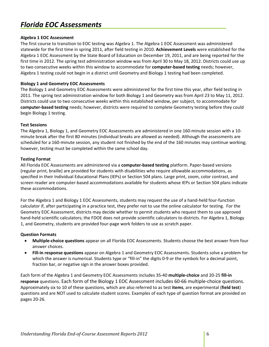## *Florida EOC Assessments*

## **Algebra 1 EOC Assessment**

 The first course to transition to EOC testing was Algebra 1. The Algebra 1 EOC Assessment was administered statewide for the first time in spring 2011, after field testing in 2010. **Achievement Levels** were established for the Algebra 1 EOC Assessment by the State Board of Education on December 19, 2011, and are being reported for the first time in 2012. The spring test administration window was from April 30 to May 18, 2012. Districts could use up  to two consecutive weeks within this window to accommodate for **computer‐based testing** needs; however, Algebra 1 testing could not begin in a district until Geometry and Biology 1 testing had been completed.

l,

## **Biology 1 and Geometry EOC Assessments**

 The Biology 1 and Geometry EOC Assessments were administered for the first time this year, after field testing in 2011. The spring test administration window for both Biology 1 and Geometry was from April 23 to May 11, 2012. Districts could use to two consecutive weeks within this established window, per subject, to accommodate for **computer‐based testing** needs; however, districts were required to complete Geometry testing before they could begin Biology 1 testing.

## **Test Sessions**

 The Algebra 1, Biology 1, and Geometry EOC Assessments are administered in one 160‐minute session with a 10‐ minute break after the first 80 minutes (individual breaks are allowed as needed). Although the assessments are scheduled for a 160‐minute session, any student not finished by the end of the 160 minutes may continue working; however, testing must be completed within the same school day.

## **Testing Format**

 All Florida EOC Assessments are administered via a **computer‐based testing** platform. Paper‐based versions (regular print, braille) are provided for students with disabilities who require allowable accommodations, as specified in their Individual Educational Plans (IEPs) or Section 504 plans. Large print, zoom, color contrast, and screen reader are computer‐based accommodations available for students whose IEPs or Section 504 plans indicate these accommodations.

 For the Algebra 1 and Biology 1 EOC Assessments, students may request the use of a hand‐held four‐function calculator if, after participating in a practice test, they prefer not to use the online calculator for testing. For the Geometry EOC Assessment, districts may decide whether to permit students who request them to use approved hand‐held scientific calculators; the FDOE does not provide scientific calculators to districts. For Algebra 1, Biology 1, and Geometry, students are provided four‐page work folders to use as scratch paper.

## **Question Formats**

- **Multiple‐choice questions** appear on all Florida EOC Assessments. Students choose the best answer from four answer choices.
- **Fill‐in response questions** appear on Algebra 1 and Geometry EOC Assessments. Students solve a problem for which the answer is numerical. Students type or "fill‐in" the digits 0‐9 or the symbols for a decimal point, fraction bar, or negative sign in the answer boxes provided.

 Each form of the Algebra 1 and Geometry EOC Assessments includes 35‐40 **multiple‐choice** and 20‐25 **fill‐in response** questions. Each form of the Biology 1 EOC Assessment includes 60‐66 multiple‐choice questions. Approximately six to 10 of these questions, which are also referred to as test **items**, are experimental (**field test**) questions and are NOT used to calculate student scores. Examples of each type of question format are provided on pages 20‐26.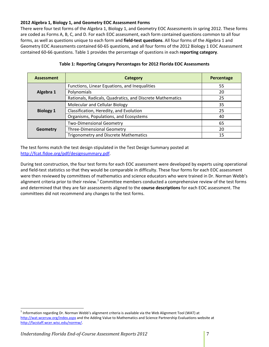## **2012 Algebra 1, Biology 1, and Geometry EOC Assessment Forms**

 There were four test forms of the Algebra 1, Biology 1, and Geometry EOC Assessments in spring 2012. These forms are coded as Forms A, B, C, and D. For each EOC assessment, each form contained questions common to all four forms, as well as questions unique to each form and **field‐test questions**. All four forms of the Algebra 1 and Geometry EOC Assessments contained 60‐65 questions, and all four forms of the 2012 Biology 1 EOC Assessment contained 60‐66 questions. Table 1 provides the percentage of questions in each **reporting category**.

| <b>Assessment</b> | Category                                                  | Percentage |
|-------------------|-----------------------------------------------------------|------------|
|                   | Functions, Linear Equations, and Inequalities             | 55         |
| Algebra 1         | Polynomials                                               | 20         |
|                   | Rationals, Radicals, Quadratics, and Discrete Mathematics | 25         |
|                   | Molecular and Cellular Biology                            | 35         |
| <b>Biology 1</b>  | Classification, Heredity, and Evolution                   | 25         |
|                   | Organisms, Populations, and Ecosystems                    | 40         |
|                   | <b>Two-Dimensional Geometry</b>                           | 65         |
| Geometry          | <b>Three-Dimensional Geometry</b>                         | 20         |
|                   | <b>Trigonometry and Discrete Mathematics</b>              | 15         |

## **Table 1: Reporting Category Percentages for 2012 Florida EOC Assessments**

 The test forms match the test design stipulated in the Test Design Summary posted at http://fcat.fldoe.org/pdf/designsummary.pdf.

 During test construction, the four test forms for each EOC assessment were developed by experts using operational and field‐test statistics so that they would be comparable in difficulty. These four forms for each EOC assessment were then reviewed by committees of mathematics and science educators who were trained in Dr. Norman Webb's alignment criteria prior to their review.<sup>1</sup> Committee members conducted a comprehensive review of the test forms and determined that they are fair assessments aligned to the **course descriptions** for each EOC assessment. The committees did not recommend any changes to the test forms.

1

 $^1$  Information regarding Dr. Norman Webb's alignment criteria is available via the Web Alignment Tool (WAT) at http://wat.wceruw.org/index.aspx</u> and the Adding Value to Mathematics and Science Partnership Evaluations website at http://facstaff.wcer.wisc.edu/normw/.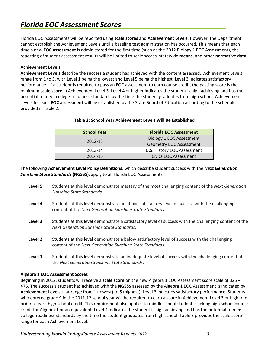# *Florida EOC Assessment Scores*

  Florida EOC Assessments will be reported using **scale scores** and **Achievement Levels**. However, the Department cannot establish the Achievement Levels until a baseline test administration has occurred. This means that each time a new **EOC assessment** is administered for the first time (such as the 2012 Biology 1 EOC Assessment), the  reporting of student assessment results will be limited to scale scores, statewide **means**, and other **normative data**.

l,

## **Achievement Levels**

 **Achievement Levels** describe the success a student has achieved with the content assessed. Achievement Levels range from 1 to 5, with Level 1 being the lowest and Level 5 being the highest. Level 3 indicates satisfactory performance. If a student is required to pass an EOC assessment to earn course credit, the passing score is the minimum **scale score** in Achievement Level 3. Level 4 or higher indicates the student is high achieving and has the potential to meet college‐readiness standards by the time the student graduates from high school. Achievement Levels for each **EOC assessment** will be established by the State Board of Education according to the schedule provided in Table 2.

| <b>School Year</b> | <b>Florida EOC Assessment</b>   |
|--------------------|---------------------------------|
| 2012-13            | <b>Biology 1 EOC Assessment</b> |
|                    | <b>Geometry EOC Assessment</b>  |
| 2013-14            | U.S. History EOC Assessment     |
| 2014-15            | Civics EOC Assessment           |

## **Table 2: School Year Achievement Levels Will Be Established**

   The following **Achievement Level Policy Definitions**, which describe student success with the *Next Generation Sunshine State Standards* **(NGSSS)**, apply to all Florida EOC Assessments:

- **Level 5** Students at this level demonstrate mastery of the most challenging content of the *Next Generation Sunshine State Standards*.
- **Level 4** Students at this level demonstrate an above satisfactory level of success with the challenging  content of the *Next Generation Sunshine State Standards*.
- Level 3 Students at this level demonstrate a satisfactory level of success with the challenging content of the  *Next Generation Sunshine State Standards*.
- **Level 2** Students at this level demonstrate a below satisfactory level of success with the challenging  content of the *Next Generation Sunshine State Standards*.
- **Level 1** Students at this level demonstrate an inadequate level of success with the challenging content of  the *Next Generation Sunshine State Standards*.

## **Algebra 1 EOC Assessment Scores**

Beginning in 2012, students will receive a **scale score** on the new Algebra 1 EOC Assessment score scale of 325 – 475. The success a student has achieved with the **NGSSS** assessed by the Algebra 1 EOC Assessment is indicated by **Achievement Levels** that range from 1 (lowest) to 5 (highest). Level 3 indicates satisfactory performance. Students who entered grade 9 in the 2011-12 school year will be required to earn a score in Achievement Level 3 or higher in order to earn high school credit. This requirement also applies to middle school students seeking high school course credit for Algebra 1 or an equivalent. Level 4 indicates the student is high achieving and has the potential to meet college-readiness standards by the time the student graduates from high school. Table 3 provides the scale score range for each Achievement Level.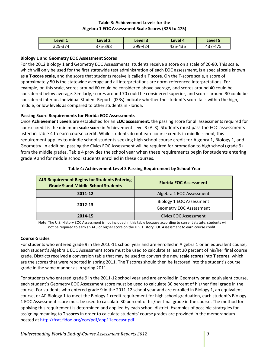## **Table 3: Achievement Levels for the Algebra 1 EOC Assessment Scale Scores (325 to 475)**

| Level 1 | Level 2 | Level 3 | Level 4 | Level 5 |
|---------|---------|---------|---------|---------|
| 325-374 | 375-398 | 399-424 | 425-436 | 437-475 |

## **Biology 1 and Geometry EOC Assessment Scores**

 For the 2012 Biology 1 and Geometry EOC Assessments, students receive a score on a scale of 20‐80. This scale, which will only be used for the first statewide test administration of each EOC assessment, is a special scale known  as a **T‐score scale,** and the score that students receive is called a **T score**. On the T‐score scale, a score of approximately 50 is the statewide average and all interpretations are norm‐referenced interpretations. For example, on this scale, scores around 60 could be considered above average, and scores around 40 could be considered below average. Similarly, scores around 70 could be considered superior, and scores around 30 could be considered inferior. Individual Student Reports (ISRs) indicate whether the student's score falls within the high, middle, or low levels as compared to other students in Florida.

## **Passing Score Requirements for Florida EOC Assessments**

 Once **Achievement Levels** are established for an **EOC assessment**, the passing score for all assessments required for course credit is the minimum **scale score** in Achievement Level 3 (AL3). Students must pass the EOC assessments listed in Table 4 to earn course credit. While students do not earn course credits in middle school, this requirement applies to middle school students seeking high school course credit for Algebra 1, Biology 1, and Geometry. In addition, passing the Civics EOC Assessment will be required for promotion to high school (grade 9) from the middle grades. Table 4 provides the school year when these requirements begin for students entering grade 9 and for middle school students enrolled in these courses.

| <b>AL3 Requirement Begins for Students Entering</b><br><b>Grade 9 and Middle School Students</b> | <b>Florida EOC Assessment</b>                                     |
|--------------------------------------------------------------------------------------------------|-------------------------------------------------------------------|
| 2011-12                                                                                          | Algebra 1 EOC Assessment                                          |
| 2012-13                                                                                          | <b>Biology 1 EOC Assessment</b><br><b>Geometry EOC Assessment</b> |
| 2014-15                                                                                          | Civics EOC Assessment                                             |

#### **Table 4: Achievement Level 3 Passing Requirement by School Year**

 Note: The U.S. History EOC Assessment is not included in this table because according to current statute, students will not be required to earn an AL3 or higher score on the U.S. History EOC Assessment to earn course credit.

## **Course Grades**

 For students who entered grade 9 in the 2010‐11 school year and are enrolled in Algebra 1 or an equivalent course, each student's Algebra 1 EOC Assessment score must be used to calculate at least 30 percent of his/her final course grade. Districts received a conversion table that may be used to convert the new **scale scores** into **T scores**, which are the scores that were reported in spring 2011. The T scores should then be factored into the student's course grade in the same manner as in spring 2011.

 For students who entered grade 9 in the 2011‐12 school year and are enrolled in Geometry or an equivalent course, each student's Geometry EOC Assessment score must be used to calculate 30 percent of his/her final grade in the course. For students who entered grade 9 in the 2011‐12 school year and are enrolled in Biology 1, an equivalent course, or AP Biology 1 to meet the Biology 1 credit requirement for high school graduation, each student's Biology 1 EOC Assessment score must be used to calculate 30 percent of his/her final grade in the course. The method for applying this requirement is determined and applied by each school district. Examples of possible strategies for assigning meaning to **T scores** in order to calculate students' course grades are provided in the memorandum posted at http://fcat.fldoe.org/eoc/pdf/app11aeocasr.pdf.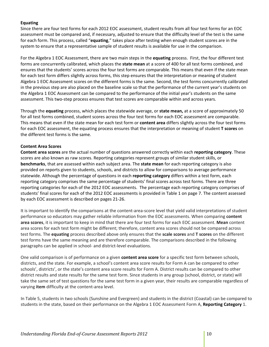## **Equating**

 Since there are four test forms for each 2012 EOC assessment, student results from all four test forms for an EOC assessment must be compared and, if necessary, adjusted to ensure that the difficulty level of the test is the same for each form. This process, called "**equating**," takes place after testing when enough student scores are in the system to ensure that a representative sample of student results is available for use in the comparison.

 For the Algebra 1 EOC Assessment, there are two main steps in the **equating** process. First, the four different test forms are concurrently calibrated, which places the **state mean** at a score of 400 for all test forms combined, and ensures that the students' scores across the four test forms are comparable. This means that even if the state mean for each test form differs slightly across forms, this step ensures that the interpretation or meaning of student Algebra 1 EOC Assessment scores on the different forms is the same. Second, the test forms concurrently calibrated in the previous step are also placed on the baseline scale so that the performance of the current year's students on the Algebra 1 EOC Assessment can be compared to the performance of the initial year's students on the same assessment. This two‐step process ensures that test scores are comparable within and across years.

 Through the **equating** process, which places the statewide average, or **state mean,** at a score of approximately 50 for all test forms combined, student scores across the four test forms for each EOC assessment are comparable. This means that even if the state mean for each test form or **content area** differs slightly across the four test forms for each EOC assessment, the equating process ensures that the interpretation or meaning of student **T scores** on the different test forms is the same.

## **Content Area Scores**

 **Content area scores** are the actual number of questions answered correctly within each **reporting category**. These scores are also known as raw scores. Reporting categories represent groups of similar student skills, or **benchmarks**, that are assessed within each subject area. The **state mean** for each reporting category is also provided on reports given to students, schools, and districts to allow for comparisons to average performance statewide. Although the percentage of questions in each **reporting category** differs within a test form, each reporting category comprises the same percentage of students' final scores across test forms. There are three reporting categories for each of the 2012 EOC assessments. The percentage each reporting category comprises of students' final scores for each of the 2012 EOC assessments is provided in Table 1 on page 7. The content assessed by each EOC assessment is described on pages 21‐26.

 It is important to identify the comparisons at the content‐area‐score level that yield valid interpretations of student performance so educators may gather reliable information from the EOC assessments. When comparing **content area scores**, it is important to keep in mind that there are four test forms for each EOC assessment. **Mean** content area scores for each test form might be different; therefore, content area scores should not be compared across test forms. The **equating** process described above only ensures that the **scale scores** and **T scores** on the different test forms have the same meaning and are therefore comparable. The comparisons described in the following paragraphs can be applied in school‐ and district‐level evaluations.

  One valid comparison is of performance on a given **content area score** for a specific test form between schools, districts, and the state. For example, a school's content area score results for Form A can be compared to other schools', districts', or the state's content area score results for Form A. District results can be compared to other district results and state results for the same test form. Since students in any group (school, district, or state) will take the same set of test questions for the same test form in a given year, their results are comparable regardless of varying **item** difficulty at the content‐area level.

 In Table 5, students in two schools (Sunshine and Evergreen) and students in the district (Coastal) can be compared to students in the state, based on their performance on the Algebra 1 EOC Assessment Form A, **Reporting Category** 1.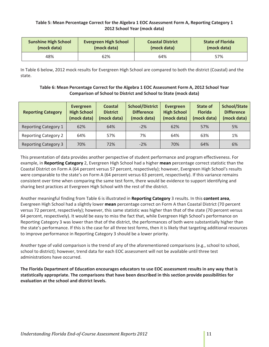## Table 5: Mean Percentage Correct for the Algebra 1 EOC Assessment Form A, Reporting Category 1  **2012 School Year (mock data)**

| <b>Sunshine High School</b> | <b>Evergreen High School</b> | <b>Coastal District</b> | <b>State of Florida</b> |
|-----------------------------|------------------------------|-------------------------|-------------------------|
| (mock data)                 | (mock data)                  | (mock data)             | (mock data)             |
| 48%                         | 62%                          | 64%                     | 57%                     |

 In Table 6 below, 2012 mock results for Evergreen High School are compared to both the district (Coastal) and the state.

## Table 6: Mean Percentage Correct for the Algebra 1 EOC Assessment Form A, 2012 School Year  **Comparison of School to District and School to State (mock data)**

| <b>Reporting Category</b>   | Evergreen<br><b>High School</b><br>(mock data) | <b>Coastal</b><br><b>District</b><br>(mock data) | <b>School/District</b><br><b>Difference</b><br>(mock data) | <b>Evergreen</b><br><b>High School</b><br>(mock data) | State of<br><b>Florida</b><br>(mock data) | <b>School/State</b><br><b>Difference</b><br>(mock data) |
|-----------------------------|------------------------------------------------|--------------------------------------------------|------------------------------------------------------------|-------------------------------------------------------|-------------------------------------------|---------------------------------------------------------|
| <b>Reporting Category 1</b> | 62%                                            | 64%                                              | $-2%$                                                      | 62%                                                   | 57%                                       | 5%                                                      |
| <b>Reporting Category 2</b> | 64%                                            | 57%                                              | 7%                                                         | 64%                                                   | 63%                                       | 1%                                                      |
| <b>Reporting Category 3</b> | 70%                                            | 72%                                              | $-2%$                                                      | 70%                                                   | 64%                                       | 6%                                                      |

 This presentation of data provides another perspective of student performance and program effectiveness. For example, in **Reporting Category** 2, Evergreen High School had a higher **mean** percentage correct statistic than the Coastal District on Form A (64 percent versus 57 percent, respectively); however, Evergreen High School's results were comparable to the state's on Form A (64 percent versus 63 percent, respectively). If this variance remains consistent over time when comparing the same test form, there would be evidence to support identifying and sharing best practices at Evergreen High School with the rest of the district.

 Another meaningful finding from Table 6 is illustrated in **Reporting Category** 3 results. In this **content area**, Evergreen High School had a slightly lower **mean** percentage correct on Form A than Coastal District (70 percent versus 72 percent, respectively); however, this same statistic was higher than that of the state (70 percent versus 64 percent, respectively). It would be easy to miss the fact that, while Evergreen High School's performance on Reporting Category 3 was lower than that of the district, the performances of both were substantially higher than the state's performance. If this is the case for all three test forms, then it is likely that targeting additional resources to improve performance in Reporting Category 3 should be a lower priority.

 Another type of valid comparison is the trend of any of the aforementioned comparisons (e.g., school to school, school to district); however, trend data for each EOC assessment will not be available until three test administrations have occurred.

The Florida Department of Education encourages educators to use EOC assessment results in any way that is statistically appropriate. The comparisons that have been described in this section provide possibilities for  **evaluation at the school and district levels.**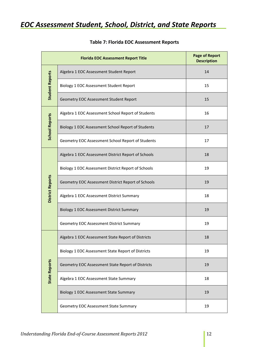## *EOC Assessment Student, School, District, and State Reports*

|                         | <b>Florida EOC Assessment Report Title</b>          | <b>Page of Report</b><br><b>Description</b> |
|-------------------------|-----------------------------------------------------|---------------------------------------------|
|                         | Algebra 1 EOC Assessment Student Report             | 14                                          |
| <b>Student Reports</b>  | Biology 1 EOC Assessment Student Report             | 15                                          |
|                         | Geometry EOC Assessment Student Report              | 15                                          |
|                         | Algebra 1 EOC Assessment School Report of Students  | 16                                          |
| <b>School Reports</b>   | Biology 1 EOC Assessment School Report of Students  | 17                                          |
|                         | Geometry EOC Assessment School Report of Students   | 17                                          |
|                         | Algebra 1 EOC Assessment District Report of Schools | 18                                          |
|                         | Biology 1 EOC Assessment District Report of Schools | 19                                          |
| <b>District Reports</b> | Geometry EOC Assessment District Report of Schools  | 19                                          |
|                         | Algebra 1 EOC Assessment District Summary           | 18                                          |
|                         | <b>Biology 1 EOC Assessment District Summary</b>    | 19                                          |
|                         | Geometry EOC Assessment District Summary            | 19                                          |
|                         | Algebra 1 EOC Assessment State Report of Districts  | 18                                          |
|                         | Biology 1 EOC Assessment State Report of Districts  | 19                                          |
| <b>State Reports</b>    | Geometry EOC Assessment State Report of Districts   | 19                                          |
|                         | Algebra 1 EOC Assessment State Summary              | 18                                          |
|                         | <b>Biology 1 EOC Assessment State Summary</b>       | 19                                          |
|                         | Geometry EOC Assessment State Summary               | 19                                          |

## **Table 7: Florida EOC Assessment Reports**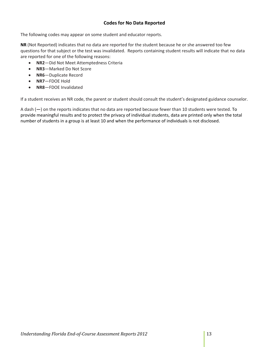## **Codes for No Data Reported**

The following codes may appear on some student and educator reports.

 **NR** (Not Reported) indicates that no data are reported for the student because he or she answered too few questions for that subject or the test was invalidated. Reports containing student results will indicate that no data are reported for one of the following reasons:

- **NR2**—Did Not Meet Attemptedness Criteria
- **NR3**—Marked Do Not Score
- **NR6**—Duplicate Record
- **NR7**—FDOE Hold
- **NR8**—FDOE Invalidated

If a student receives an NR code, the parent or student should consult the student's designated guidance counselor.

 A dash (**—**) on the reports indicates that no data are reported because fewer than 10 students were tested. To provide meaningful results and to protect the privacy of individual students, data are printed only when the total number of students in a group is at least 10 and when the performance of individuals is not disclosed.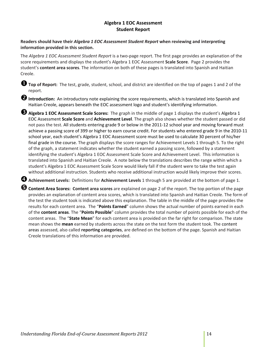## **Algebra 1 EOC Assessment Student Report**

## Readers should have their Algebra 1 EOC Assessment Student Report when reviewing and interpreting  **information provided in this section.**

 The *Algebra 1 EOC Assessment Student Report* is a two‐page report. The first page provides an explanation of the score requirements and displays the student's Algebra 1 EOC Assessment **Scale Score**. Page 2 provides the  student's **content area scores**. The information on both of these pages is translated into Spanish and Haitian Creole.

 **Top of Report:** The test, grade, student, school, and district are identified on the top of pages <sup>1</sup> and <sup>2</sup> of the report.

**2** Introduction: An introductory note explaining the score requirements, which is translated into Spanish and Haitian Creole, appears beneath the EOC assessment logo and student's identifying information.

 **Algebra <sup>1</sup> EOC Assessment Scale Scores:** The graph in the middle of page <sup>1</sup> displays the student's Algebra <sup>1</sup>  EOC Assessment **Scale Score** and **Achievement Level**. The graph also shows whether the student passed or did not pass the test. All students entering grade 9 or below in the 2011‐12 school year and moving forward must achieve a passing score of 399 or higher to earn course credit. For students who entered grade 9 in the 2010‐11 school year, each student's Algebra 1 EOC Assessment score must be used to calculate 30 percent of his/her final grade in the course. The graph displays the score ranges for Achievement Levels 1 through 5. To the right of the graph, a statement indicates whether the student earned a passing score, followed by a statement identifying the student's Algebra 1 EOC Assessment Scale Score and Achievement Level. This information is translated into Spanish and Haitian Creole. A note below the translations describes the range within which a student's Algebra 1 EOC Assessment Scale Score would likely fall if the student were to take the test again without additional instruction. Students who receive additional instruction would likely improve their scores.

 **Achievement Levels:** Definitions for **Achievement Levels** <sup>1</sup> through <sup>5</sup> are provided at the bottom of page 1.

**6** Content Area Scores: Content area scores are explained on page 2 of the report. The top portion of the page provides an explanation of content area scores, which is translated into Spanish and Haitian Creole. The form of the test the student took is indicated above this explanation. The table in the middle of the page provides the results for each content area. The "**Points Earned**" column shows the actual number of points earned in each of the **content areas**. The "**Points Possible**" column provides the total number of points possible for each of the content areas. The "**State Mean**" for each content area is provided on the far right for comparison. The state mean shows the **mean** earned by students across the state on the test form the student took. The content areas assessed, also called **reporting categories**, are defined on the bottom of the page. Spanish and Haitian Creole translations of this information are provided.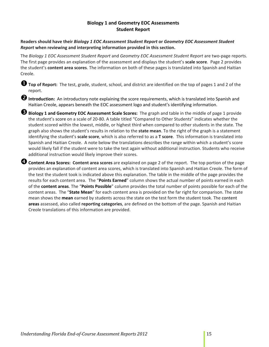## **Biology 1 and Geometry EOC Assessments Student Report**

Readers should have their Biology 1 EOC Assessment Student Report or Geometry EOC Assessment Student  *Report* **when reviewing and interpreting information provided in this section.**

The Biology 1 EOC Assessment Student Report and Geometry EOC Assessment Student Report are two-page reports. The first page provides an explanation of the assessment and displays the student's **scale score**. Page 2 provides  the student's **content area scores**. The information on both of these pages is translated into Spanish and Haitian Creole.

 **Top of Report:** The test, grade, student, school, and district are identified on the top of pages <sup>1</sup> and <sup>2</sup> of the report.

**2** Introduction: An introductory note explaining the score requirements, which is translated into Spanish and Haitian Creole, appears beneath the EOC assessment logo and student's identifying information.

 **Biology <sup>1</sup> and Geometry EOC Assessment Scale Scores:** The graph and table in the middle of page <sup>1</sup> provide the student's score on a scale of 20‐80. A table titled "Compared to Other Students" indicates whether the student scored within the lowest, middle, or highest third when compared to other students in the state. The graph also shows the student's results in relation to the **state mean**. To the right of the graph is a statement identifying the student's **scale score**, which is also referred to as a **T score**. This information is translated into Spanish and Haitian Creole. A note below the translations describes the range within which a student's score would likely fall if the student were to take the test again without additional instruction. Students who receive additional instruction would likely improve their scores.

**4 Content Area Scores: Content area scores** are explained on page 2 of the report. The top portion of the page provides an explanation of content area scores, which is translated into Spanish and Haitian Creole. The form of the test the student took is indicated above this explanation. The table in the middle of the page provides the results for each content area. The "**Points Earned**" column shows the actual number of points earned in each of the **content areas**. The "**Points Possible**" column provides the total number of points possible for each of the content areas. The "**State Mean**" for each content area is provided on the far right for comparison. The state mean shows the **mean** earned by students across the state on the test form the student took. The content **areas** assessed, also called **reporting categories**, are defined on the bottom of the page. Spanish and Haitian Creole translations of this information are provided.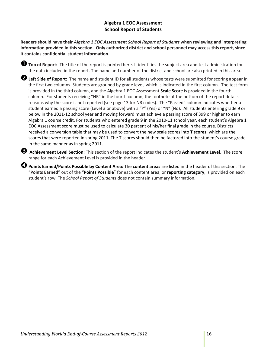## **Algebra 1 EOC Assessment School Report of Students**

Readers should have their Algebra 1 EOC Assessment School Report of Students when reviewing and interpreting information provided in this section. Only authorized district and school personnel may access this report, since  **it contains confidential student information.**

 **Top of Report:** The title of the report is printed here. It identifies the subject area and test administration for the data included in the report. The name and number of the district and school are also printed in this area.

 **Left Side of Report:** The name and student ID for all students whose tests were submitted for scoring appear in the first two columns. Students are grouped by grade level, which is indicated in the first column. The test form is provided in the third column, and the Algebra 1 EOC Assessment **Scale Score** is provided in the fourth column. For students receiving "NR" in the fourth column, the footnote at the bottom of the report details reasons why the score is not reported (see page 13 for NR codes). The "Passed" column indicates whether a student earned a passing score (Level 3 or above) with a "Y" (Yes) or "N" (No). All students entering grade 9 or below in the 2011‐12 school year and moving forward must achieve a passing score of 399 or higher to earn Algebra 1 course credit. For students who entered grade 9 in the 2010‐11 school year, each student's Algebra 1 EOC Assessment score must be used to calculate 30 percent of his/her final grade in the course. Districts received a conversion table that may be used to convert the new scale scores into **T scores**, which are the scores that were reported in spring 2011. The T scores should then be factored into the student's course grade in the same manner as in spring 2011.

 **Achievement Level Section:** This section of the report indicates the student's **Achievement Level**. The score range for each Achievement Level is provided in the header.

 **Points Earned/Points Possible by Content Area:** The **content areas** are listed in the header of this section. The "**Points Earned**" out of the "**Points Possible**" for each content area, or **reporting category**, is provided on each  student's row. The *School Report of Students* does not contain summary information.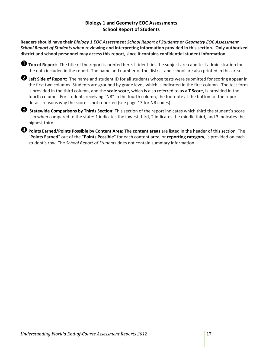## **Biology 1 and Geometry EOC Assessments School Report of Students**

Readers should have their Biology 1 EOC Assessment School Report of Students or Geometry EOC Assessment School Report of Students when reviewing and interpreting information provided in this section. Only authorized district and school personnel may access this report, since it contains confidential student information.

 **Top of Report:** The title of the report is printed here. It identifies the subject area and test administration for the data included in the report. The name and number of the district and school are also printed in this area.

 **Left Side of Report:** The name and student ID for all students whose tests were submitted for scoring appear in the first two columns. Students are grouped by grade level, which is indicated in the first column. The test form is provided in the third column, and the **scale score**, which is also referred to as a **T Score**, is provided in the fourth column. For students receiving "NR" in the fourth column, the footnote at the bottom of the report details reasons why the score is not reported (see page 13 for NR codes).

 **Statewide Comparisons by Thirds Section:** This section of the report indicates which third the student's score is in when compared to the state: 1 indicates the lowest third, 2 indicates the middle third, and 3 indicates the highest third.

 **Points Earned/Points Possible by Content Area:** The **content areas** are listed in the header of this section. The "**Points Earned**" out of the "**Points Possible**" for each content area, or **reporting category**, is provided on each  student's row. The *School Report of Students* does not contain summary information.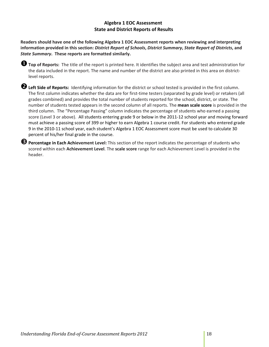## **Algebra 1 EOC Assessment State and District Reports of Results**

Readers should have one of the following Algebra 1 EOC Assessment reports when reviewing and interpreting information provided in this section: District Report of Schools, District Summary, State Report of Districts, and  *State Summary***. These reports are formatted similarly.**

 **Top of Reports:** The title of the report is printed here. It identifies the subject area and test administration for the data included in the report. The name and number of the district are also printed in this area on district‐ level reports.

 **Left Side of Reports:** Identifying information for the district or school tested is provided in the first column. The first column indicates whether the data are for first‐time testers (separated by grade level) or retakers (all grades combined) and provides the total number of students reported for the school, district, or state. The  number of students tested appears in the second column of all reports. The **mean scale score** is provided in the third column. The "Percentage Passing" column indicates the percentage of students who earned a passing score (Level 3 or above). All students entering grade 9 or below in the 2011‐12 school year and moving forward must achieve a passing score of 399 or higher to earn Algebra 1 course credit. For students who entered grade 9 in the 2010‐11 school year, each student's Algebra 1 EOC Assessment score must be used to calculate 30 percent of his/her final grade in the course.

 $\Theta$  **Percentage in Each Achievement Level:** This section of the report indicates the percentage of students who scored within each **Achievement Level**. The **scale score** range for each Achievement Level is provided in the header.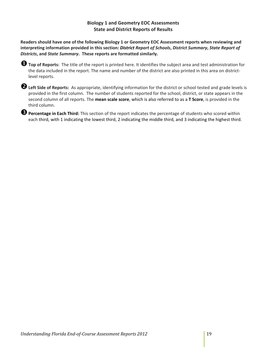## **Biology 1 and Geometry EOC Assessments State and District Reports of Results**

Readers should have one of the following Biology 1 or Geometry EOC Assessment reports when reviewing and interpreting information provided in this section: District Report of Schools, District Summary, State Report of  *Districts***, and** *State Summary***. These reports are formatted similarly.**

| <b>O</b> Top of Reports: The title of the report is printed here. It identifies the subject area and test administration for |
|------------------------------------------------------------------------------------------------------------------------------|
| the data included in the report. The name and number of the district are also printed in this area on district-              |
| level reports.                                                                                                               |

| <b>2</b> Left Side of Reports: As appropriate, identifying information for the district or school tested and grade levels is |
|------------------------------------------------------------------------------------------------------------------------------|
| provided in the first column. The number of students reported for the school, district, or state appears in the              |
| second column of all reports. The mean scale score, which is also referred to as a T Score, is provided in the               |
| third column.                                                                                                                |

 **Percentage in Each Third:** This section of the report indicates the percentage of students who scored within each third, with 1 indicating the lowest third, 2 indicating the middle third, and 3 indicating the highest third.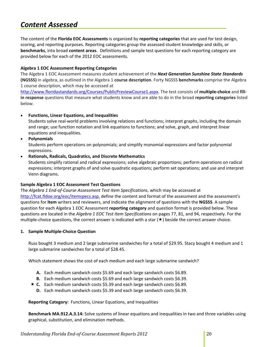#### *Content Assessed*

  The content of the **Florida EOC Assessments** is organized by **reporting categories** that are used for test design, scoring, and reporting purposes. Reporting categories group the assessed student knowledge and skills, or **benchmarks**, into broad **content areas**. Definitions and sample test questions for each reporting category are provided below for each of the 2012 EOC assessments.

## **Algebra 1 EOC Assessment Reporting Categories**

l,

  The Algebra 1 EOC Assessment measures student achievement of the *Next Generation Sunshine State Standards* **(NGSSS)** in algebra, as outlined in the Algebra 1 **course description**. Forty NGSSS **benchmarks** comprise the Algebra 1 course description, which may be accessed at

 http://www.floridastandards.org/Courses/PublicPreviewCourse1.aspx. The test consists of **multiple‐choice** and **fill‐ in response** questions that measure what students know and are able to do in the broad **reporting categories** listed below.

## **Functions, Linear Equations, and Inequalities**

 Students solve real‐world problems involving relations and functions; interpret graphs, including the domain and range; use function notation and link equations to functions; and solve, graph, and interpret linear equations and inequalities.

**Polynomials**

 Students perform operations on polynomials; and simplify monomial expressions and factor polynomial expressions.

## **Rationals, Radicals, Quadratics, and Discrete Mathematics**

 Students simplify rational and radical expressions; solve algebraic proportions; perform operations on radical expressions; interpret graphs of and solve quadratic equations; perform set operations; and use and interpret Venn diagrams.

## **Sample Algebra 1 EOC Assessment Test Questions**

 The *Algebra 1 End‐of‐Course Assessment Test Item Specifications*, which may be accessed at http://fcat.fldoe.org/eoc/itemspecs.asp, define the content and format of the assessment and the assessment's questions for **item** writers and reviewers, and indicate the alignment of questions with the **NGSSS**. A sample question for each Algebra 1 EOC Assessment **reporting category** and question format is provided below. These  questions are located in the *Algebra 1 EOC Test Item Specifications* on pages 77, 81, and 94, respectively. For the multiple-choice questions, the correct answer is indicated with a star  $(\star)$  beside the correct answer choice.

## **1. Sample Multiple‐Choice Question**

 Russ bought 3 medium and 2 large submarine sandwiches for a total of \$29.95. Stacy bought 4 medium and 1 large submarine sandwiches for a total of \$28.45.

Which statement shows the cost of each medium and each large submarine sandwich?

- A. Each medium sandwich costs \$5.69 and each large sandwich costs \$6.89.
- **B.**  Each medium sandwich costs \$5.69 and each large sandwich costs \$6.39.
- **★ C.** Each medium sandwich costs \$5.39 and each large sandwich costs \$6.89.
	- **D.** Each medium sandwich costs \$5.39 and each large sandwich costs \$6.39.

 **Reporting Category:** Functions, Linear Equations, and Inequalities

 **Benchmark MA.912.A.3.14:** Solve systems of linear equations and inequalities in two and three variables using graphical, substitution, and elimination methods.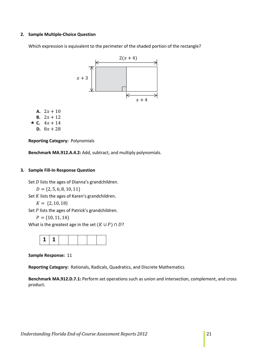## **2. Sample Multiple‐Choice Question**

Which expression is equivalent to the perimeter of the shaded portion of the rectangle?



- A.  $2x + 10$
- **B.**  $2x + 12$
- $\star$  **C.**  $4x + 14$
- **D.**  $8x + 28$

 **Reporting Category:** Polynomials

**Benchmark MA.912.A.4.2:** Add, subtract, and multiply polynomials.

#### **3. Sample Fill‐In Response Question**

Set  $D$  lists the ages of Dianna's grandchildren.

```
D = \{2, 5, 6, 8, 10, 11\}
```
Set  $K$  lists the ages of Karen's grandchildren.

```
K = \{2, 10, 18\}
```
Set  $P$  lists the ages of Patrick's grandchildren.

```
P = \{10, 11, 14\}
```
What is the greatest age in the set  $(K \cup P) \cap D$ ?



 **Sample Response:** 11

 **Reporting Category:** Rationals, Radicals, Quadratics, and Discrete Mathematics

 **Benchmark MA.912.D.7.1:** Perform set operations such as union and intersection, complement, and cross product.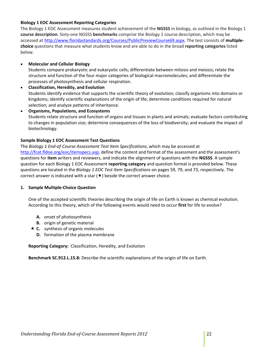## **Biology 1 EOC Assessment Reporting Categories**

 The Biology 1 EOC Assessment measures student achievement of the **NGSSS** in biology, as outlined in the Biology 1 **course description**. Sixty‐one NGSSS **benchmarks** comprise the Biology 1 course description, which may be accessed at http://www.floridastandards.org/Courses/PublicPreviewCourse69.aspx. The test consists of **multiple‐ choice** questions that measure what students know and are able to do in the broad **reporting categories** listed below.

## **Molecular and Cellular Biology**

 Students compare prokaryotic and eukaryotic cells; differentiate between mitosis and meiosis; relate the structure and function of the four major categories of biological macromolecules; and differentiate the processes of photosynthesis and cellular respiration.

## **Classification, Heredity, and Evolution** Students identify evidence that supports the scientific theory of evolution; classify organisms into domains or kingdoms; identify scientific explanations of the origin of life; determine conditions required for natural selection; and analyze patterns of inheritance.

 **Organisms, Populations, and Ecosystems** Students relate structure and function of organs and tissues in plants and animals; evaluate factors contributing to changes in population size; determine consequences of the loss of biodiversity; and evaluate the impact of biotechnology.

## **Sample Biology 1 EOC Assessment Test Questions**

 The *Biology 1 End‐of‐Course Assessment Test Item Specifications*, which may be accessed at http://fcat.fldoe.org/eoc/itemspecs.asp, define the content and format of the assessment and the assessment's questions for **item** writers and reviewers, and indicate the alignment of questions with the **NGSSS**. A sample question for each Biology 1 EOC Assessment **reporting category** and question format is provided below. These  questions are located in the *Biology 1 EOC Test Item Specifications* on pages 59, 79, and 73, respectively. The correct answer is indicated with a star  $(\star)$  beside the correct answer choice.

## **1. Sample Multiple‐Choice Question**

 One of the accepted scientific theories describing the origin of life on Earth is known as chemical evolution. According to this theory, which of the following events would need to occur **first** for life to evolve?

- **A.** onset of photosynthesis
- **B.** origin of genetic material
- **★ C.** synthesis of organic molecules
	- **D.** formation of the plasma membrane

 **Reporting Category:** Classification, Heredity, and Evolution

**Benchmark SC.912.L.15.8:** Describe the scientific explanations of the origin of life on Earth.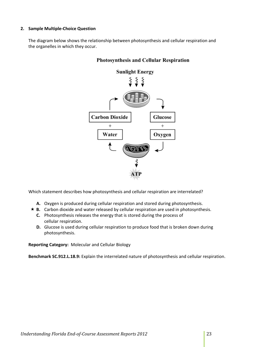## **2. Sample Multiple‐Choice Question**

 The diagram below shows the relationship between photosynthesis and cellular respiration and the organelles in which they occur.



## **Photosynthesis and Cellular Respiration**

Which statement describes how photosynthesis and cellular respiration are interrelated?

- A. Oxygen is produced during cellular respiration and stored during photosynthesis.
- **B.** Carbon dioxide and water released by cellular respiration are used in photosynthesis.
	- **C.** Photosynthesis releases the energy that is stored during the process of cellular respiration.
	- **D.** Glucose is used during cellular respiration to produce food that is broken down during photosynthesis.

 **Reporting Category:** Molecular and Cellular Biology

**Benchmark SC.912.L.18.9:** Explain the interrelated nature of photosynthesis and cellular respiration.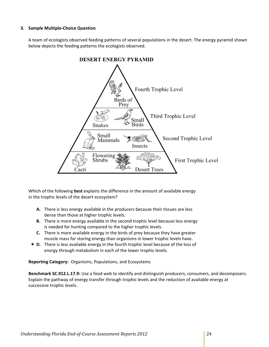## **3. Sample Multiple‐Choice Question**

 A team of ecologists observed feeding patterns of several populations in the desert. The energy pyramid shown below depicts the feeding patterns the ecologists observed.



 Which of the following **best** explains the difference in the amount of available energy in the trophic levels of the desert ecosystem?

- A. There is less energy available in the producers because their tissues are less dense than those at higher trophic levels.
- **B.** There is more energy available in the second trophic level because less energy is needed for hunting compared to the higher trophic levels.
- **C.** There is more available energy in the birds of prey because they have greater muscle mass for storing energy than organisms in lower trophic levels have.
- **★ D.** There is less available energy in the fourth trophic level because of the loss of energy through metabolism in each of the lower trophic levels.

 **Reporting Category:** Organisms, Populations, and Ecosystems

 **Benchmark SC.912.L.17.9:** Use a food web to identify and distinguish producers, consumers, and decomposers. Explain the pathway of energy transfer through trophic levels and the reduction of available energy at successive trophic levels.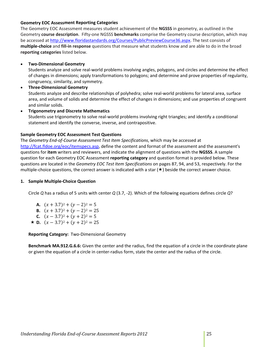## **Geometry EOC Assessment Reporting Categories**

 The Geometry EOC Assessment measures student achievement of the **NGSSS** in geometry, as outlined in the Geometry **course description**. Fifty‐one NGSSS **benchmarks** comprise the Geometry course description, which may be accessed at http://www.floridastandards.org/Courses/PublicPreviewCourse36.aspx</u>. The test consists of **multiple‐choice** and **fill‐in response** questions that measure what students know and are able to do in the broad **reporting categories** listed below.

## **Two‐Dimensional Geometry**

 Students analyze and solve real‐world problems involving angles, polygons, and circles and determine the effect of changes in dimensions; apply transformations to polygons; and determine and prove properties of regularity, congruency, similarity, and symmetry.

 **Three‐Dimensional Geometry** Students analyze and describe relationships of polyhedra; solve real‐world problems for lateral area, surface area, and volume of solids and determine the effect of changes in dimensions; and use properties of congruent and similar solids.

## **Trigonometry and Discrete Mathematics** Students use trigonometry to solve real‐world problems involving right triangles; and identify a conditional statement and identify the converse, inverse, and contrapositive.

## **Sample Geometry EOC Assessment Test Questions**

 The *Geometry End‐of‐Course Assessment Test Item Specifications*, which may be accessed at http://fcat.fldoe.org/eoc/itemspecs.asp, define the content and format of the assessment and the assessment's questions for **item** writers and reviewers, and indicate the alignment of questions with the **NGSSS**. A sample question for each Geometry EOC Assessment **reporting category** and question format is provided below. These  questions are located in the *Geometry EOC Test Item Specifications* on pages 87, 94, and 53, respectively. For the multiple-choice questions, the correct answer is indicated with a star  $(\star)$  beside the correct answer choice.

## **1. Sample Multiple‐Choice Question**

Circle *Q* has a radius of 5 units with center *Q* (3.7, ‐2). Which of the following equations defines circle *Q*?

- **A.**  $(x + 3.7)^2 + (y 2)^2 = 5$
- **B.**  $(x + 3.7)^2 + (y 2)^2 = 25$
- **C.**  $(x-3.7)^2 + (y+2)^2 = 5$
- **D.**  $(x 3.7)^2 + (y + 2)^2 = 25$

 **Reporting Category:** Two‐Dimensional Geometry

 **Benchmark MA.912.G.6.6:** Given the center and the radius, find the equation of a circle in the coordinate plane or given the equation of a circle in center‐radius form, state the center and the radius of the circle.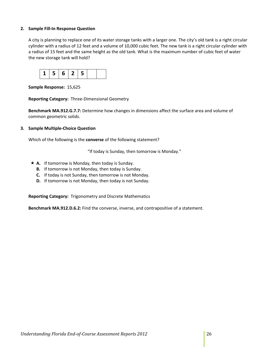## **2. Sample Fill‐In Response Question**

 A city is planning to replace one of its water storage tanks with a larger one. The city's old tank is a right circular cylinder with a radius of 12 feet and a volume of 10,000 cubic feet. The new tank is a right circular cylinder with a radius of 15 feet and the same height as the old tank. What is the maximum number of cubic feet of water the new storage tank will hold?



 **Sample Response:** 15,625

 **Reporting Category:** Three‐Dimensional Geometry

 **Benchmark MA.912.G.7.7:** Determine how changes in dimensions affect the surface area and volume of common geometric solids.

## **3. Sample Multiple‐Choice Question**

Which of the following is the **converse** of the following statement?

"If today is Sunday, then tomorrow is Monday."

- $\star$  **A.** If tomorrow is Monday, then today is Sunday.
	- **B.** If tomorrow is not Monday, then today is Sunday.
	- **C.** If today is not Sunday, then tomorrow is not Monday.
	- **D.** If tomorrow is not Monday, then today is not Sunday.

 **Reporting Category:** Trigonometry and Discrete Mathematics

**Benchmark MA.912.D.6.2:** Find the converse, inverse, and contrapositive of a statement.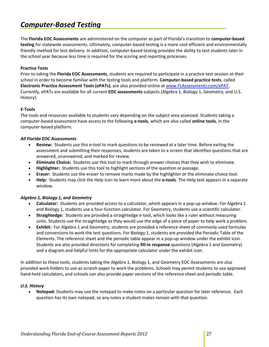#### *Computer‐Based Testing*

 The **Florida EOC Assessments** are administered on the computer as part of Florida's transition to **computer‐based testing** for statewide assessments. Ultimately, computer‐based testing is a more cost‐efficient and environmentally friendly method for test delivery. In addition, computer‐based testing provides the ability to test students later in the school year because less time is required for the scoring and reporting processes.

## **Practice Tests**

  Prior to taking the **Florida EOC Assessments**, students are required to participate in a practice test session at their  school in order to become familiar with the testing tools and platform. **Computer‐based practice tests**, called  **Electronic Practice Assessment Tools (ePATs)**, are also provided online at www.FLAssessments.com/ePAT. Currently, ePATs are available for all current **EOC assessments** subjects (Algebra 1, Biology 1, Geometry, and U.S. History).

## **E‐Tools**

 The tools and resources available to students vary depending on the subject area assessed. Students taking a computer‐based assessment have access to the following **e‐tools**, which are also called **online tools**, in the computer‐based platform.

## *All Florida EOC Assessments*

- **Review:** Students use this e‐tool to mark questions to be reviewed at a later time. Before exiting the assessment and submitting their responses, students are taken to a screen that identifies questions that are answered, unanswered, and marked for review.
- **Eliminate Choice:** Students use this tool to mark through answer choices that they wish to eliminate.
- **Highlighter:** Students use this tool to highlight sections of the question or passage.
- **Eraser:** Students use the eraser to remove marks made by the highlighter or the eliminate‐choice tool.
- **Help:** Students may click the Help icon to learn more about the **e‐tools**. The Help text appears in a separate window.

## *Algebra 1, Biology 1, and Geometry*

- **Calculator:** Students are provided access to a calculator, which appears in a pop-up window. For Algebra 1 and Biology 1, students use a four-function calculator. For Geometry, students use a scientific calculator.
- **Straightedge:** Students are provided a straightedge e‐tool, which looks like a ruler without measuring units. Students use the straightedge as they would use the edge of a piece of paper to help work a problem.
- **Exhibit:** For Algebra 1 and Geometry, students are provided a reference sheet of commonly used formulas and conversions to work the test questions. For Biology 1, students are provided the Periodic Table of the Elements. The reference sheet and the periodic table appear in a pop‐up window under the exhibit icon. Students are also provided directions for completing **fill‐in response** questions (Algebra 1 and Geometry) and a diagram and helpful hints for the appropriate calculator under the exhibit icon.

 In addition to these tools, students taking the Algebra 1, Biology 1, and Geometry EOC Assessments are also provided work folders to use as scratch paper to work the problems. Schools may permit students to use approved hand-held calculators, and schools can also provide paper versions of the reference sheet and periodic table.

## *U.S. History*

 **Notepad:** Students may use the notepad to make notes on a particular question for later reference. Each question has its own notepad, so any notes a student makes remain with that question.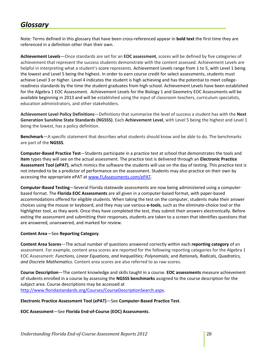#### *Glossary*

 Note: Terms defined in this glossary that have been cross‐referenced appear in **bold text** the first time they are referenced in a definition other than their own.

 **Achievement Levels**—Once standards are set for an **EOC assessment**, scores will be defined by five categories of achievement that represent the success students demonstrate with the content assessed. Achievement Levels are helpful in interpreting what a student's score represents. Achievement Levels range from 1 to 5, with Level 1 being the lowest and Level 5 being the highest. In order to earn course credit for select assessments, students must achieve Level 3 or higher. Level 4 indicates the student is high achieving and has the potential to meet college‐ readiness standards by the time the student graduates from high school. Achievement Levels have been established for the Algebra 1 EOC Assessment. Achievement Levels for the Biology 1 and Geometry EOC Assessments will be available beginning in 2013 and will be established using the input of classroom teachers, curriculum specialists, education administrators, and other stakeholders.

 **Achievement Level Policy Definitions**—Definitions that summarize the level of success a student has with the **Next Generation Sunshine State Standards (NGSSS)**. Each **Achievement Level**, with Level 5 being the highest and Level 1 being the lowest, has a policy definition.

 **Benchmark**—A specific statement that describes what students should know and be able to do. The benchmarks are part of the **NGSSS**.

 **Computer‐Based Practice Test**—Students participate in a practice test at school that demonstrates the tools and  **item** types they will see on the actual assessment. The practice test is delivered through an **Electronic Practice Assessment Tool (ePAT)**, which mimics the software the students will use on the day of testing. This practice test is not intended to be a predictor of performance on the assessment. Students may also practice on their own by accessing the appropriate ePAT at www.FLAssessments.com/ePAT.

 **Computer‐Based Testing**—Several Florida statewide assessments are now being administered using a computer‐  based format. The **Florida EOC Assessments** are all given in a computer‐based format, with paper‐based accommodations offered for eligible students. When taking the test on the computer, students make their answer choices using the mouse or keyboard, and they may use various **e‐tools**, such as the eliminate‐choice tool or the highlighter tool, as they work. Once they have completed the test, they submit their answers electronically. Before exiting the assessment and submitting their responses, students are taken to a screen that identifies questions that are answered, unanswered, and marked for review.

## **Content Area**—See **Reporting Category**.

 **Content Area Scores**—The actual number of questions answered correctly within each **reporting category** of an assessment. For example, content area scores are reported for the following reporting categories for the Algebra 1  EOC Assessment: *Functions, Linear Equations, and Inequalities; Polynomials;* and *Rationals, Radicals, Quadratics, and Discrete Mathematics*. Content area scores are also referred to as raw scores.

 **Course Description**—The content knowledge and skills taught in a course. **EOC assessments** measure achievement of students enrolled in a course by assessing the **NGSSS benchmarks** assigned to the course description for the subject area. Course descriptions may be accessed at http://www.floridastandards.org/Courses/CourseDescriptionSearch.aspx.

## **Electronic Practice Assessment Tool (ePAT)**—See **Computer‐Based Practice Test**.

 **EOC Assessment**—See **Florida End‐of‐Course (EOC) Assessments**.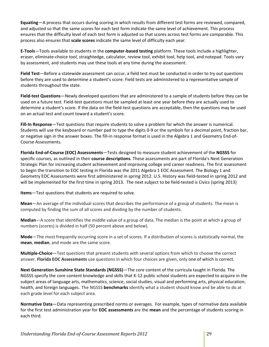**Equating**—A process that occurs during scoring in which results from different test forms are reviewed, compared, and adjusted so that the same scores for each test form indicate the same level of achievement. This process ensures that the difficulty level of each test form is adjusted so that scores across test forms are comparable. This process also ensures that **scale scores** indicate the same level of difficulty each year.

  **E‐Tools**—Tools available to students in the **computer‐based testing** platform. These tools include a highlighter, eraser, eliminate‐choice tool, straightedge, calculator, review tool, exhibit tool, help tool, and notepad. Tools vary by assessment, and students may use these tools at any time during the assessment.

 **Field Test**—Before a statewide assessment can occur, a field test must be conducted in order to try out questions before they are used to determine a student's score. Field tests are administered to a representative sample of students throughout the state.

 **Field‐test Questions**—Newly developed questions that are administered to a sample of students before they can be used on a future test. Field‐test questions must be sampled at least one year before they are actually used to determine a student's score. If the data on the field‐test questions are acceptable, then the questions may be used on an actual test and count toward a student's score.

 **Fill‐In Response**—Test questions that require students to solve a problem for which the answer is numerical. Students will use the keyboard or number pad to type the digits 0‐9 or the symbols for a decimal point, fraction bar, or negative sign in the answer boxes. The fill‐in response format is used in the Algebra 1 and Geometry End‐of‐ Course Assessments.

 **Florida End‐of‐Course (EOC) Assessments**—Tests designed to measure student achievement of the **NGSSS** for specific courses, as outlined in their **course descriptions**. These assessments are part of Florida's Next Generation Strategic Plan for increasing student achievement and improving college and career readiness. The first assessment to begin the transition to EOC testing in Florida was the 2011 Algebra 1 EOC Assessment. The Biology 1 and Geometry EOC Assessments were first administered in spring 2012. U.S. History was field‐tested in spring 2012 and will be implemented for the first time in spring 2013. The next subject to be field‐tested is Civics (spring 2013)

**Items**—Test questions that students are required to solve.

 **Mean**—An average of the individual scores that describes the performance of a group of students. The mean is computed by finding the sum of all scores and dividing by the number of students.

 **Median**—A score that identifies the middle value of a group of data. The median is the point at which a group of numbers (scores) is divided in half (50 percent above and below).

 **Mode**—The most frequently occurring score in a set of scores. If a distribution of scores is statistically normal, the **mean**, **median**, and mode are the same score.

 **Multiple‐Choice**—Test questions that present students with several options from which to choose the correct  answer. **Florida EOC Assessments** use questions in which four choices are given, only one of which is correct.

 **Next Generation Sunshine State Standards (NGSSS)**—The core content of the curricula taught in Florida. The NGSSS specify the core content knowledge and skills that K‐12 public school students are expected to acquire in the subject areas of language arts, mathematics, science, social studies, visual and performing arts, physical education, health, and foreign languages. The NGSSS **benchmarks** identify what a student should know and be able to do at each grade level for each subject area.

 **Normative Data**—Data representing prescribed norms or averages. For example, types of normative data available for the first test administration year for **EOC assessments** are the **mean** and the percentage of students scoring in each third.